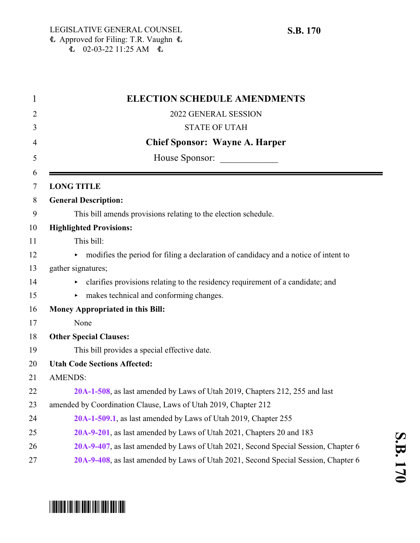| $\mathbf{1}$   | <b>ELECTION SCHEDULE AMENDMENTS</b>                                                 |
|----------------|-------------------------------------------------------------------------------------|
| $\overline{2}$ | 2022 GENERAL SESSION                                                                |
| 3              | <b>STATE OF UTAH</b>                                                                |
| 4              | <b>Chief Sponsor: Wayne A. Harper</b>                                               |
| 5<br>6         | House Sponsor:                                                                      |
| 7              | <b>LONG TITLE</b>                                                                   |
| 8              | <b>General Description:</b>                                                         |
|                | This bill amends provisions relating to the election schedule.                      |
|                | <b>Highlighted Provisions:</b>                                                      |
|                | This bill:                                                                          |
|                | modifies the period for filing a declaration of candidacy and a notice of intent to |
|                | gather signatures;                                                                  |
|                | • clarifies provisions relating to the residency requirement of a candidate; and    |
|                | makes technical and conforming changes.<br>▶                                        |
|                | <b>Money Appropriated in this Bill:</b>                                             |
|                | None                                                                                |
|                | <b>Other Special Clauses:</b>                                                       |
|                | This bill provides a special effective date.                                        |
|                | <b>Utah Code Sections Affected:</b>                                                 |
|                | <b>AMENDS:</b>                                                                      |
|                | 20A-1-508, as last amended by Laws of Utah 2019, Chapters 212, 255 and last         |
|                | amended by Coordination Clause, Laws of Utah 2019, Chapter 212                      |
|                | 20A-1-509.1, as last amended by Laws of Utah 2019, Chapter 255                      |
|                | 20A-9-201, as last amended by Laws of Utah 2021, Chapters 20 and 183                |
|                | 20A-9-407, as last amended by Laws of Utah 2021, Second Special Session, Chapter 6  |
|                | 20A-9-408, as last amended by Laws of Utah 2021, Second Special Session, Chapter 6  |
|                |                                                                                     |

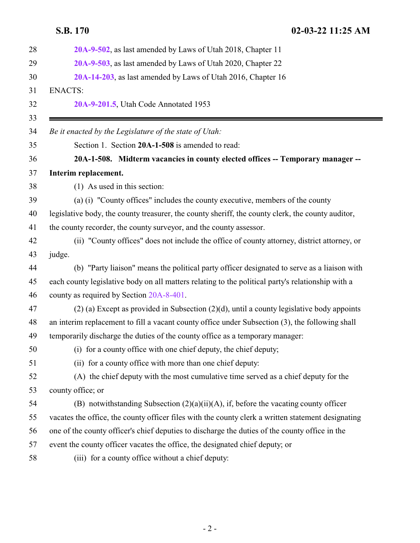<span id="page-1-0"></span>

| 20A-9-503, as last amended by Laws of Utah 2020, Chapter 22<br>29<br>20A-14-203, as last amended by Laws of Utah 2016, Chapter 16<br><b>ENACTS:</b><br>20A-9-201.5, Utah Code Annotated 1953<br>Be it enacted by the Legislature of the state of Utah:<br>Section 1. Section 20A-1-508 is amended to read:<br>20A-1-508. Midterm vacancies in county elected offices -- Temporary manager --<br>Interim replacement.<br>(1) As used in this section: |  |
|------------------------------------------------------------------------------------------------------------------------------------------------------------------------------------------------------------------------------------------------------------------------------------------------------------------------------------------------------------------------------------------------------------------------------------------------------|--|
| 30                                                                                                                                                                                                                                                                                                                                                                                                                                                   |  |
| 31<br>32<br>33<br>34<br>35<br>36<br>37                                                                                                                                                                                                                                                                                                                                                                                                               |  |
|                                                                                                                                                                                                                                                                                                                                                                                                                                                      |  |
|                                                                                                                                                                                                                                                                                                                                                                                                                                                      |  |
|                                                                                                                                                                                                                                                                                                                                                                                                                                                      |  |
|                                                                                                                                                                                                                                                                                                                                                                                                                                                      |  |
|                                                                                                                                                                                                                                                                                                                                                                                                                                                      |  |
| 38                                                                                                                                                                                                                                                                                                                                                                                                                                                   |  |
|                                                                                                                                                                                                                                                                                                                                                                                                                                                      |  |
| (a) (i) "County offices" includes the county executive, members of the county<br>39                                                                                                                                                                                                                                                                                                                                                                  |  |
| legislative body, the county treasurer, the county sheriff, the county clerk, the county auditor,<br>40                                                                                                                                                                                                                                                                                                                                              |  |
| the county recorder, the county surveyor, and the county assessor.<br>41                                                                                                                                                                                                                                                                                                                                                                             |  |
| (ii) "County offices" does not include the office of county attorney, district attorney, or<br>42                                                                                                                                                                                                                                                                                                                                                    |  |
| judge.<br>43                                                                                                                                                                                                                                                                                                                                                                                                                                         |  |
| (b) "Party liaison" means the political party officer designated to serve as a liaison with<br>44                                                                                                                                                                                                                                                                                                                                                    |  |
| each county legislative body on all matters relating to the political party's relationship with a<br>45                                                                                                                                                                                                                                                                                                                                              |  |
| county as required by Section 20A-8-401.<br>46                                                                                                                                                                                                                                                                                                                                                                                                       |  |
| $(2)$ (a) Except as provided in Subsection $(2)(d)$ , until a county legislative body appoints<br>47                                                                                                                                                                                                                                                                                                                                                 |  |
| an interim replacement to fill a vacant county office under Subsection (3), the following shall<br>48                                                                                                                                                                                                                                                                                                                                                |  |
| 49<br>temporarily discharge the duties of the county office as a temporary manager:                                                                                                                                                                                                                                                                                                                                                                  |  |
| (i) for a county office with one chief deputy, the chief deputy;<br>50                                                                                                                                                                                                                                                                                                                                                                               |  |
| 51<br>(ii) for a county office with more than one chief deputy:                                                                                                                                                                                                                                                                                                                                                                                      |  |
| 52<br>(A) the chief deputy with the most cumulative time served as a chief deputy for the                                                                                                                                                                                                                                                                                                                                                            |  |
| 53<br>county office; or                                                                                                                                                                                                                                                                                                                                                                                                                              |  |
| (B) notwithstanding Subsection $(2)(a)(ii)(A)$ , if, before the vacating county officer<br>54                                                                                                                                                                                                                                                                                                                                                        |  |
| vacates the office, the county officer files with the county clerk a written statement designating<br>55                                                                                                                                                                                                                                                                                                                                             |  |
| one of the county officer's chief deputies to discharge the duties of the county office in the<br>56                                                                                                                                                                                                                                                                                                                                                 |  |
| event the county officer vacates the office, the designated chief deputy; or<br>57                                                                                                                                                                                                                                                                                                                                                                   |  |
| (iii) for a county office without a chief deputy:<br>58                                                                                                                                                                                                                                                                                                                                                                                              |  |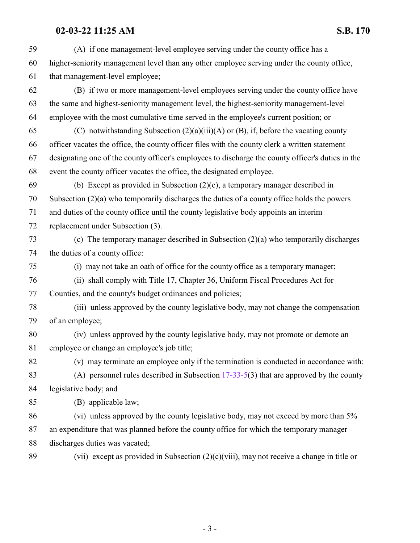(A) if one management-level employee serving under the county office has a higher-seniority management level than any other employee serving under the county office, that management-level employee; (B) if two or more management-level employees serving under the county office have the same and highest-seniority management level, the highest-seniority management-level employee with the most cumulative time served in the employee's current position; or 65 (C) notwithstanding Subsection  $(2)(a)(iii)(A)$  or  $(B)$ , if, before the vacating county officer vacates the office, the county officer files with the county clerk a written statement designating one of the county officer's employees to discharge the county officer's duties in the event the county officer vacates the office, the designated employee. (b) Except as provided in Subsection (2)(c), a temporary manager described in Subsection (2)(a) who temporarily discharges the duties of a county office holds the powers and duties of the county office until the county legislative body appoints an interim replacement under Subsection (3). (c) The temporary manager described in Subsection (2)(a) who temporarily discharges the duties of a county office: (i) may not take an oath of office for the county office as a temporary manager; (ii) shall comply with Title 17, Chapter 36, Uniform Fiscal Procedures Act for Counties, and the county's budget ordinances and policies; (iii) unless approved by the county legislative body, may not change the compensation of an employee; (iv) unless approved by the county legislative body, may not promote or demote an employee or change an employee's job title; (v) may terminate an employee only if the termination is conducted in accordance with: (A) personnel rules described in Subsection [17-33-5](http://le.utah.gov/UtahCode/SectionLookup.jsp?section=17-33-5&session=2022GS)(3) that are approved by the county legislative body; and (B) applicable law; (vi) unless approved by the county legislative body, may not exceed by more than 5% an expenditure that was planned before the county office for which the temporary manager discharges duties was vacated; 89 (vii) except as provided in Subsection  $(2)(c)(viii)$ , may not receive a change in title or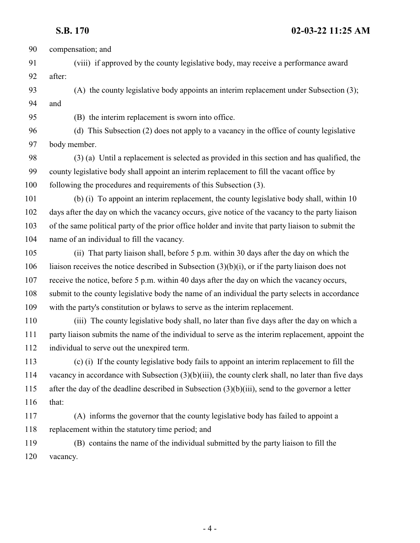**S.B. 170 02-03-22 11:25 AM** compensation; and (viii) if approved by the county legislative body, may receive a performance award after: (A) the county legislative body appoints an interim replacement under Subsection (3); and (B) the interim replacement is sworn into office. (d) This Subsection (2) does not apply to a vacancy in the office of county legislative body member. (3) (a) Until a replacement is selected as provided in this section and has qualified, the county legislative body shall appoint an interim replacement to fill the vacant office by following the procedures and requirements of this Subsection (3). (b) (i) To appoint an interim replacement, the county legislative body shall, within 10 days after the day on which the vacancy occurs, give notice of the vacancy to the party liaison of the same political party of the prior office holder and invite that party liaison to submit the name of an individual to fill the vacancy. (ii) That party liaison shall, before 5 p.m. within 30 days after the day on which the liaison receives the notice described in Subsection (3)(b)(i), or if the party liaison does not receive the notice, before 5 p.m. within 40 days after the day on which the vacancy occurs, submit to the county legislative body the name of an individual the party selects in accordance with the party's constitution or bylaws to serve as the interim replacement. (iii) The county legislative body shall, no later than five days after the day on which a party liaison submits the name of the individual to serve as the interim replacement, appoint the individual to serve out the unexpired term. (c) (i) If the county legislative body fails to appoint an interim replacement to fill the vacancy in accordance with Subsection (3)(b)(iii), the county clerk shall, no later than five days after the day of the deadline described in Subsection (3)(b)(iii), send to the governor a letter that: (A) informs the governor that the county legislative body has failed to appoint a replacement within the statutory time period; and (B) contains the name of the individual submitted by the party liaison to fill the vacancy.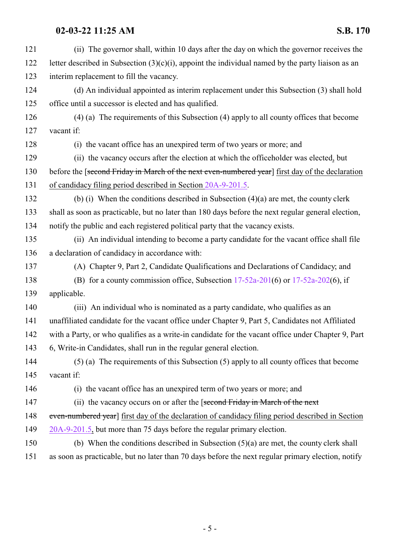| 121 | (ii) The governor shall, within 10 days after the day on which the governor receives the             |
|-----|------------------------------------------------------------------------------------------------------|
| 122 | letter described in Subsection $(3)(c)(i)$ , appoint the individual named by the party liaison as an |
| 123 | interim replacement to fill the vacancy.                                                             |
| 124 | (d) An individual appointed as interim replacement under this Subsection (3) shall hold              |
| 125 | office until a successor is elected and has qualified.                                               |
| 126 | $(4)$ (a) The requirements of this Subsection (4) apply to all county offices that become            |
| 127 | vacant if:                                                                                           |
| 128 | (i) the vacant office has an unexpired term of two years or more; and                                |
| 129 | (ii) the vacancy occurs after the election at which the officeholder was elected, but                |
| 130 | before the [second Friday in March of the next even-numbered year] first day of the declaration      |
| 131 | of candidacy filing period described in Section 20A-9-201.5.                                         |
| 132 | (b) (i) When the conditions described in Subsection $(4)(a)$ are met, the county clerk               |
| 133 | shall as soon as practicable, but no later than 180 days before the next regular general election,   |
| 134 | notify the public and each registered political party that the vacancy exists.                       |
| 135 | (ii) An individual intending to become a party candidate for the vacant office shall file            |
| 136 | a declaration of candidacy in accordance with:                                                       |
| 137 | (A) Chapter 9, Part 2, Candidate Qualifications and Declarations of Candidacy; and                   |
| 138 | (B) for a county commission office, Subsection $17-52a-201(6)$ or $17-52a-202(6)$ , if               |
| 139 | applicable.                                                                                          |
| 140 | (iii) An individual who is nominated as a party candidate, who qualifies as an                       |
| 141 | unaffiliated candidate for the vacant office under Chapter 9, Part 5, Candidates not Affiliated      |
| 142 | with a Party, or who qualifies as a write-in candidate for the vacant office under Chapter 9, Part   |
| 143 | 6, Write-in Candidates, shall run in the regular general election.                                   |
| 144 | (5) (a) The requirements of this Subsection (5) apply to all county offices that become              |
| 145 | vacant if:                                                                                           |
| 146 | (i) the vacant office has an unexpired term of two years or more; and                                |
| 147 | (ii) the vacancy occurs on or after the [second Friday in March of the next                          |
| 148 | even-numbered year] first day of the declaration of candidacy filing period described in Section     |
| 149 | 20A-9-201.5, but more than 75 days before the regular primary election.                              |
| 150 | (b) When the conditions described in Subsection $(5)(a)$ are met, the county clerk shall             |
| 151 | as soon as practicable, but no later than 70 days before the next regular primary election, notify   |
|     |                                                                                                      |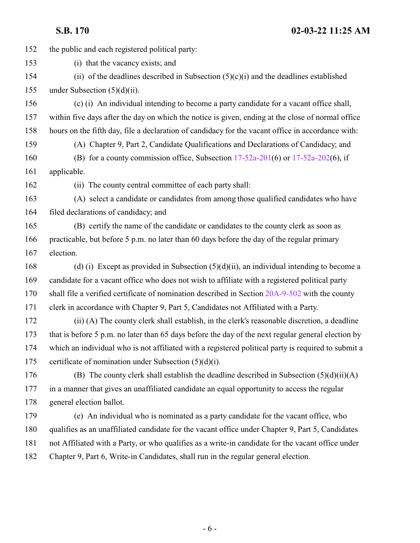the public and each registered political party:

(i) that the vacancy exists; and

 (ii) of the deadlines described in Subsection (5)(c)(i) and the deadlines established under Subsection (5)(d)(ii).

 (c) (i) An individual intending to become a party candidate for a vacant office shall, within five days after the day on which the notice is given, ending at the close of normal office hours on the fifth day, file a declaration of candidacy for the vacant office in accordance with: (A) Chapter 9, Part 2, Candidate Qualifications and Declarations of Candidacy; and

 (B) for a county commission office, Subsection [17-52a-201](http://le.utah.gov/UtahCode/SectionLookup.jsp?section=17-52a-201&session=2022GS)(6) or [17-52a-202](http://le.utah.gov/UtahCode/SectionLookup.jsp?section=17-52a-202&session=2022GS)(6), if applicable.

(ii) The county central committee of each party shall:

 (A) select a candidate or candidates from among those qualified candidates who have filed declarations of candidacy; and

 (B) certify the name of the candidate or candidates to the county clerk as soon as practicable, but before 5 p.m. no later than 60 days before the day of the regular primary election.

 (d) (i) Except as provided in Subsection (5)(d)(ii), an individual intending to become a candidate for a vacant office who does not wish to affiliate with a registered political party shall file a verified certificate of nomination described in Section [20A-9-502](#page-24-0) with the county

clerk in accordance with Chapter 9, Part 5, Candidates not Affiliated with a Party.

 (ii) (A) The county clerk shall establish, in the clerk's reasonable discretion, a deadline that is before 5 p.m. no later than 65 days before the day of the next regular general election by which an individual who is not affiliated with a registered political party is required to submit a 175 certificate of nomination under Subsection  $(5)(d)(i)$ .

176 (B) The county clerk shall establish the deadline described in Subsection  $(5)(d)(ii)(A)$  in a manner that gives an unaffiliated candidate an equal opportunity to access the regular general election ballot.

 (e) An individual who is nominated as a party candidate for the vacant office, who qualifies as an unaffiliated candidate for the vacant office under Chapter 9, Part 5, Candidates not Affiliated with a Party, or who qualifies as a write-in candidate for the vacant office under Chapter 9, Part 6, Write-in Candidates, shall run in the regular general election.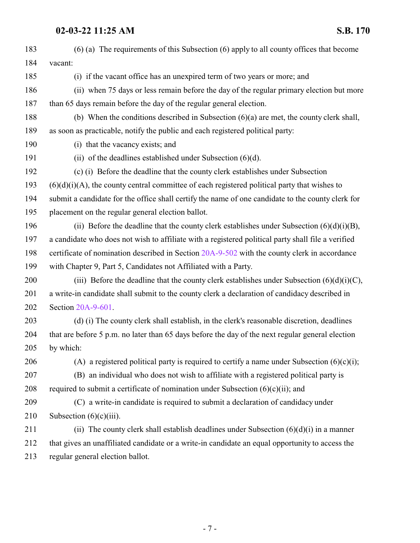| 183 | $(6)$ (a) The requirements of this Subsection $(6)$ apply to all county offices that become        |
|-----|----------------------------------------------------------------------------------------------------|
| 184 | vacant:                                                                                            |
| 185 | (i) if the vacant office has an unexpired term of two years or more; and                           |
| 186 | (ii) when 75 days or less remain before the day of the regular primary election but more           |
| 187 | than 65 days remain before the day of the regular general election.                                |
| 188 | (b) When the conditions described in Subsection $(6)(a)$ are met, the county clerk shall,          |
| 189 | as soon as practicable, notify the public and each registered political party:                     |
| 190 | (i) that the vacancy exists; and                                                                   |
| 191 | (ii) of the deadlines established under Subsection $(6)(d)$ .                                      |
| 192 | (c) (i) Before the deadline that the county clerk establishes under Subsection                     |
| 193 | $(6)(d)(i)(A)$ , the county central committee of each registered political party that wishes to    |
| 194 | submit a candidate for the office shall certify the name of one candidate to the county clerk for  |
| 195 | placement on the regular general election ballot.                                                  |
| 196 | (ii) Before the deadline that the county clerk establishes under Subsection $(6)(d)(i)(B)$ ,       |
| 197 | a candidate who does not wish to affiliate with a registered political party shall file a verified |
| 198 | certificate of nomination described in Section 20A-9-502 with the county clerk in accordance       |
| 199 | with Chapter 9, Part 5, Candidates not Affiliated with a Party.                                    |
| 200 | (iii) Before the deadline that the county clerk establishes under Subsection $(6)(d)(i)(C)$ ,      |
| 201 | a write-in candidate shall submit to the county clerk a declaration of candidacy described in      |
| 202 | Section 20A-9-601.                                                                                 |
| 203 | (d) (i) The county clerk shall establish, in the clerk's reasonable discretion, deadlines          |
| 204 | that are before 5 p.m. no later than 65 days before the day of the next regular general election   |
| 205 | by which:                                                                                          |
| 206 | (A) a registered political party is required to certify a name under Subsection $(6)(c)(i)$ ;      |
| 207 | (B) an individual who does not wish to affiliate with a registered political party is              |
| 208 | required to submit a certificate of nomination under Subsection (6)(c)(ii); and                    |
| 209 | (C) a write-in candidate is required to submit a declaration of candidacy under                    |
| 210 | Subsection $(6)(c)(iii)$ .                                                                         |
| 211 | (ii) The county clerk shall establish deadlines under Subsection $(6)(d)(i)$ in a manner           |
| 212 | that gives an unaffiliated candidate or a write-in candidate an equal opportunity to access the    |
| 213 | regular general election ballot.                                                                   |
|     |                                                                                                    |

- 7 -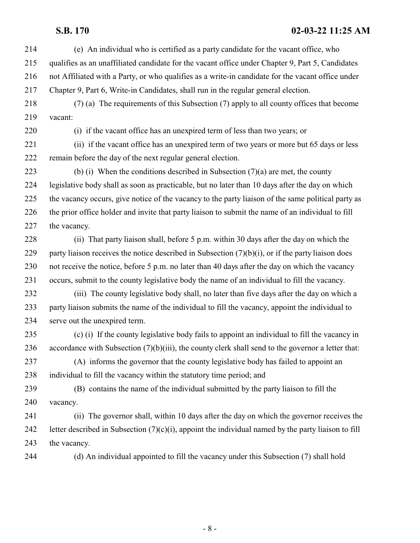- (e) An individual who is certified as a party candidate for the vacant office, who qualifies as an unaffiliated candidate for the vacant office under Chapter 9, Part 5, Candidates not Affiliated with a Party, or who qualifies as a write-in candidate for the vacant office under Chapter 9, Part 6, Write-in Candidates, shall run in the regular general election.
- (7) (a) The requirements of this Subsection (7) apply to all county offices that become vacant:

(i) if the vacant office has an unexpired term of less than two years; or

 (ii) if the vacant office has an unexpired term of two years or more but 65 days or less remain before the day of the next regular general election.

223 (b) (i) When the conditions described in Subsection  $(7)(a)$  are met, the county legislative body shall as soon as practicable, but no later than 10 days after the day on which the vacancy occurs, give notice of the vacancy to the party liaison of the same political party as the prior office holder and invite that party liaison to submit the name of an individual to fill the vacancy.

 (ii) That party liaison shall, before 5 p.m. within 30 days after the day on which the 229 party liaison receives the notice described in Subsection  $(7)(b)(i)$ , or if the party liaison does not receive the notice, before 5 p.m. no later than 40 days after the day on which the vacancy occurs, submit to the county legislative body the name of an individual to fill the vacancy.

 (iii) The county legislative body shall, no later than five days after the day on which a party liaison submits the name of the individual to fill the vacancy, appoint the individual to serve out the unexpired term.

 (c) (i) If the county legislative body fails to appoint an individual to fill the vacancy in accordance with Subsection (7)(b)(iii), the county clerk shall send to the governor a letter that:

 (A) informs the governor that the county legislative body has failed to appoint an individual to fill the vacancy within the statutory time period; and

 (B) contains the name of the individual submitted by the party liaison to fill the vacancy.

 (ii) The governor shall, within 10 days after the day on which the governor receives the 242 letter described in Subsection  $(7)(c)(i)$ , appoint the individual named by the party liaison to fill the vacancy.

(d) An individual appointed to fill the vacancy under this Subsection (7) shall hold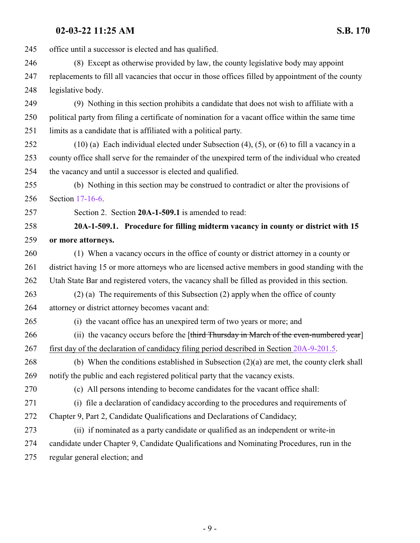<span id="page-8-0"></span>

| 245 | office until a successor is elected and has qualified.                                             |
|-----|----------------------------------------------------------------------------------------------------|
| 246 | (8) Except as otherwise provided by law, the county legislative body may appoint                   |
| 247 | replacements to fill all vacancies that occur in those offices filled by appointment of the county |
| 248 | legislative body.                                                                                  |
| 249 | (9) Nothing in this section prohibits a candidate that does not wish to affiliate with a           |
| 250 | political party from filing a certificate of nomination for a vacant office within the same time   |
| 251 | limits as a candidate that is affiliated with a political party.                                   |
| 252 | $(10)$ (a) Each individual elected under Subsection (4), (5), or (6) to fill a vacancy in a        |
| 253 | county office shall serve for the remainder of the unexpired term of the individual who created    |
| 254 | the vacancy and until a successor is elected and qualified.                                        |
| 255 | (b) Nothing in this section may be construed to contradict or alter the provisions of              |
| 256 | Section 17-16-6.                                                                                   |
| 257 | Section 2. Section 20A-1-509.1 is amended to read:                                                 |
| 258 | 20A-1-509.1. Procedure for filling midterm vacancy in county or district with 15                   |
| 259 | or more attorneys.                                                                                 |
| 260 | (1) When a vacancy occurs in the office of county or district attorney in a county or              |
| 261 | district having 15 or more attorneys who are licensed active members in good standing with the     |
| 262 | Utah State Bar and registered voters, the vacancy shall be filled as provided in this section.     |
| 263 | (2) (a) The requirements of this Subsection (2) apply when the office of county                    |
| 264 | attorney or district attorney becomes vacant and:                                                  |
| 265 | (i) the vacant office has an unexpired term of two years or more; and                              |
| 266 | (ii) the vacancy occurs before the [third Thursday in March of the even-numbered year]             |
| 267 | first day of the declaration of candidacy filing period described in Section 20A-9-201.5.          |
| 268 | (b) When the conditions established in Subsection $(2)(a)$ are met, the county clerk shall         |
| 269 | notify the public and each registered political party that the vacancy exists.                     |
| 270 | (c) All persons intending to become candidates for the vacant office shall:                        |
| 271 | (i) file a declaration of candidacy according to the procedures and requirements of                |
| 272 | Chapter 9, Part 2, Candidate Qualifications and Declarations of Candidacy;                         |
| 273 | (ii) if nominated as a party candidate or qualified as an independent or write-in                  |
| 274 | candidate under Chapter 9, Candidate Qualifications and Nominating Procedures, run in the          |
| 275 | regular general election; and                                                                      |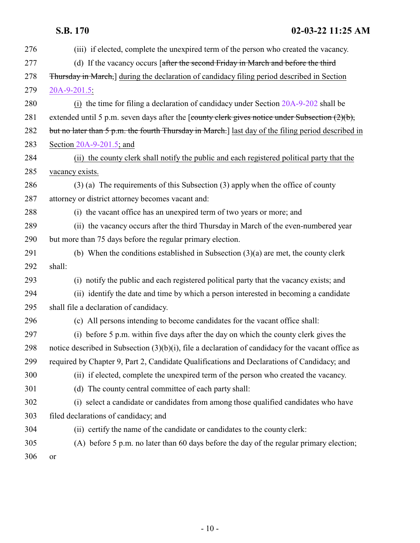| 276 | (iii) if elected, complete the unexpired term of the person who created the vacancy.                  |
|-----|-------------------------------------------------------------------------------------------------------|
| 277 | (d) If the vacancy occurs [after the second Friday in March and before the third                      |
| 278 | <b>Thursday in March,</b> during the declaration of candidacy filing period described in Section      |
| 279 | $20A-9-201.5$                                                                                         |
| 280 | (i) the time for filing a declaration of candidacy under Section 20A-9-202 shall be                   |
| 281 | extended until 5 p.m. seven days after the [county clerk gives notice under Subsection $(2)(b)$ ,     |
| 282 | but no later than 5 p.m. the fourth Thursday in March.] last day of the filing period described in    |
| 283 | Section $20A-9-201.5$ ; and                                                                           |
| 284 | (ii) the county clerk shall notify the public and each registered political party that the            |
| 285 | vacancy exists.                                                                                       |
| 286 | $(3)$ (a) The requirements of this Subsection (3) apply when the office of county                     |
| 287 | attorney or district attorney becomes vacant and:                                                     |
| 288 | (i) the vacant office has an unexpired term of two years or more; and                                 |
| 289 | (ii) the vacancy occurs after the third Thursday in March of the even-numbered year                   |
| 290 | but more than 75 days before the regular primary election.                                            |
| 291 | (b) When the conditions established in Subsection $(3)(a)$ are met, the county clerk                  |
| 292 | shall:                                                                                                |
| 293 | (i) notify the public and each registered political party that the vacancy exists; and                |
| 294 | (ii) identify the date and time by which a person interested in becoming a candidate                  |
| 295 | shall file a declaration of candidacy.                                                                |
| 296 | (c) All persons intending to become candidates for the vacant office shall:                           |
| 297 | (i) before 5 p.m. within five days after the day on which the county clerk gives the                  |
| 298 | notice described in Subsection $(3)(b)(i)$ , file a declaration of candidacy for the vacant office as |
| 299 | required by Chapter 9, Part 2, Candidate Qualifications and Declarations of Candidacy; and            |
| 300 | (ii) if elected, complete the unexpired term of the person who created the vacancy.                   |
| 301 | (d) The county central committee of each party shall:                                                 |
| 302 | (i) select a candidate or candidates from among those qualified candidates who have                   |
| 303 | filed declarations of candidacy; and                                                                  |
| 304 | (ii) certify the name of the candidate or candidates to the county clerk:                             |
| 305 | (A) before 5 p.m. no later than 60 days before the day of the regular primary election;               |
| 306 | or                                                                                                    |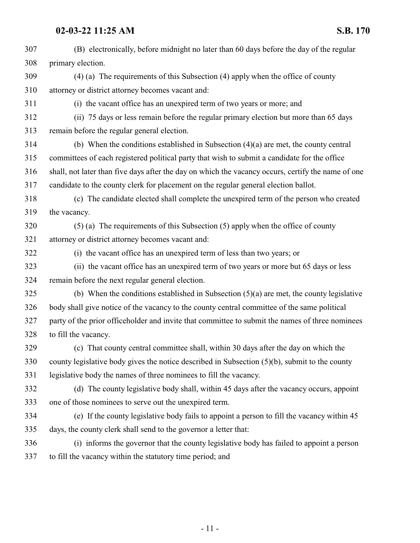| 307 | (B) electronically, before midnight no later than 60 days before the day of the regular            |
|-----|----------------------------------------------------------------------------------------------------|
| 308 | primary election.                                                                                  |
| 309 | $(4)$ (a) The requirements of this Subsection $(4)$ apply when the office of county                |
| 310 | attorney or district attorney becomes vacant and:                                                  |
| 311 | (i) the vacant office has an unexpired term of two years or more; and                              |
| 312 | (ii) 75 days or less remain before the regular primary election but more than 65 days              |
| 313 | remain before the regular general election.                                                        |
| 314 | (b) When the conditions established in Subsection $(4)(a)$ are met, the county central             |
| 315 | committees of each registered political party that wish to submit a candidate for the office       |
| 316 | shall, not later than five days after the day on which the vacancy occurs, certify the name of one |
| 317 | candidate to the county clerk for placement on the regular general election ballot.                |
| 318 | (c) The candidate elected shall complete the unexpired term of the person who created              |
| 319 | the vacancy.                                                                                       |
| 320 | $(5)$ (a) The requirements of this Subsection $(5)$ apply when the office of county                |
| 321 | attorney or district attorney becomes vacant and:                                                  |
| 322 | (i) the vacant office has an unexpired term of less than two years; or                             |
| 323 | (ii) the vacant office has an unexpired term of two years or more but 65 days or less              |
| 324 | remain before the next regular general election.                                                   |
| 325 | (b) When the conditions established in Subsection $(5)(a)$ are met, the county legislative         |
| 326 | body shall give notice of the vacancy to the county central committee of the same political        |
| 327 | party of the prior officeholder and invite that committee to submit the names of three nominees    |
| 328 | to fill the vacancy.                                                                               |
| 329 | (c) That county central committee shall, within 30 days after the day on which the                 |
| 330 | county legislative body gives the notice described in Subsection $(5)(b)$ , submit to the county   |
| 331 | legislative body the names of three nominees to fill the vacancy.                                  |
| 332 | (d) The county legislative body shall, within 45 days after the vacancy occurs, appoint            |
| 333 | one of those nominees to serve out the unexpired term.                                             |
| 334 | (e) If the county legislative body fails to appoint a person to fill the vacancy within 45         |
| 335 | days, the county clerk shall send to the governor a letter that:                                   |
| 336 | (i) informs the governor that the county legislative body has failed to appoint a person           |
| 337 | to fill the vacancy within the statutory time period; and                                          |
|     |                                                                                                    |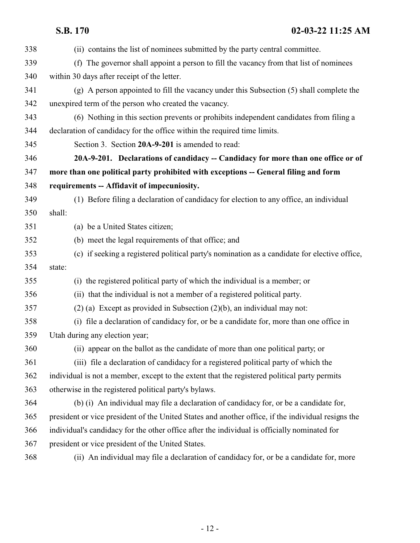<span id="page-11-0"></span>

| 338 | (ii) contains the list of nominees submitted by the party central committee.                       |
|-----|----------------------------------------------------------------------------------------------------|
| 339 | (f) The governor shall appoint a person to fill the vacancy from that list of nominees             |
| 340 | within 30 days after receipt of the letter.                                                        |
| 341 | (g) A person appointed to fill the vacancy under this Subsection (5) shall complete the            |
| 342 | unexpired term of the person who created the vacancy.                                              |
| 343 | (6) Nothing in this section prevents or prohibits independent candidates from filing a             |
| 344 | declaration of candidacy for the office within the required time limits.                           |
| 345 | Section 3. Section 20A-9-201 is amended to read:                                                   |
| 346 | 20A-9-201. Declarations of candidacy -- Candidacy for more than one office or of                   |
| 347 | more than one political party prohibited with exceptions -- General filing and form                |
| 348 | requirements -- Affidavit of impecuniosity.                                                        |
| 349 | (1) Before filing a declaration of candidacy for election to any office, an individual             |
| 350 | shall:                                                                                             |
| 351 | (a) be a United States citizen;                                                                    |
| 352 | (b) meet the legal requirements of that office; and                                                |
| 353 | (c) if seeking a registered political party's nomination as a candidate for elective office,       |
| 354 | state:                                                                                             |
| 355 | (i) the registered political party of which the individual is a member; or                         |
| 356 | (ii) that the individual is not a member of a registered political party.                          |
| 357 | $(2)$ (a) Except as provided in Subsection $(2)(b)$ , an individual may not:                       |
| 358 | (i) file a declaration of candidacy for, or be a candidate for, more than one office in            |
| 359 | Utah during any election year;                                                                     |
| 360 | (ii) appear on the ballot as the candidate of more than one political party; or                    |
| 361 | (iii) file a declaration of candidacy for a registered political party of which the                |
| 362 | individual is not a member, except to the extent that the registered political party permits       |
| 363 | otherwise in the registered political party's bylaws.                                              |
| 364 | (b) (i) An individual may file a declaration of candidacy for, or be a candidate for,              |
| 365 | president or vice president of the United States and another office, if the individual resigns the |
| 366 | individual's candidacy for the other office after the individual is officially nominated for       |
| 367 | president or vice president of the United States.                                                  |
| 368 | (ii) An individual may file a declaration of candidacy for, or be a candidate for, more            |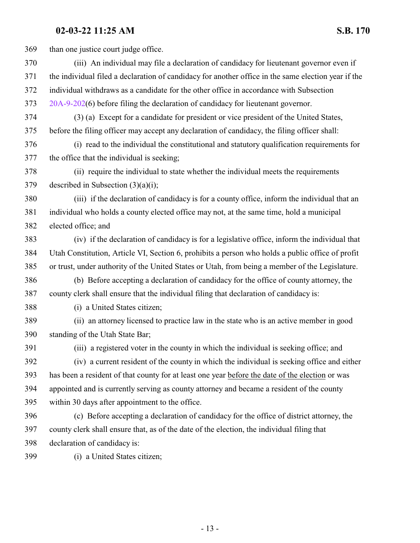than one justice court judge office. (iii) An individual may file a declaration of candidacy for lieutenant governor even if the individual filed a declaration of candidacy for another office in the same election year if the individual withdraws as a candidate for the other office in accordance with Subsection [20A-9-202](http://le.utah.gov/UtahCode/SectionLookup.jsp?section=20a-9-202&session=2022GS)(6) before filing the declaration of candidacy for lieutenant governor. (3) (a) Except for a candidate for president or vice president of the United States, before the filing officer may accept any declaration of candidacy, the filing officer shall: (i) read to the individual the constitutional and statutory qualification requirements for the office that the individual is seeking; (ii) require the individual to state whether the individual meets the requirements described in Subsection (3)(a)(i); (iii) if the declaration of candidacy is for a county office, inform the individual that an individual who holds a county elected office may not, at the same time, hold a municipal elected office; and (iv) if the declaration of candidacy is for a legislative office, inform the individual that Utah Constitution, Article VI, Section 6, prohibits a person who holds a public office of profit or trust, under authority of the United States or Utah, from being a member of the Legislature. (b) Before accepting a declaration of candidacy for the office of county attorney, the county clerk shall ensure that the individual filing that declaration of candidacy is: (i) a United States citizen; (ii) an attorney licensed to practice law in the state who is an active member in good standing of the Utah State Bar; (iii) a registered voter in the county in which the individual is seeking office; and (iv) a current resident of the county in which the individual is seeking office and either has been a resident of that county for at least one year before the date of the election or was appointed and is currently serving as county attorney and became a resident of the county within 30 days after appointment to the office. (c) Before accepting a declaration of candidacy for the office of district attorney, the county clerk shall ensure that, as of the date of the election, the individual filing that declaration of candidacy is: (i) a United States citizen;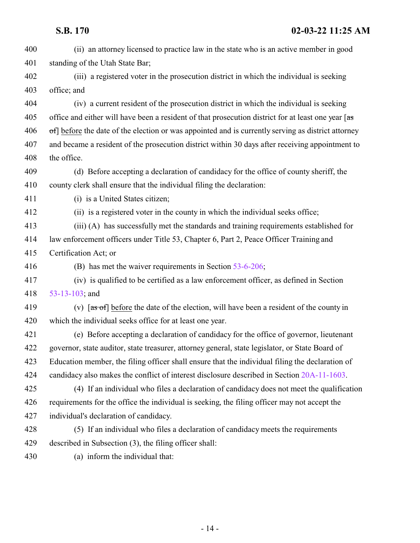(ii) an attorney licensed to practice law in the state who is an active member in good standing of the Utah State Bar; (iii) a registered voter in the prosecution district in which the individual is seeking office; and (iv) a current resident of the prosecution district in which the individual is seeking 405 office and either will have been a resident of that prosecution district for at least one year [as of before the date of the election or was appointed and is currently serving as district attorney and became a resident of the prosecution district within 30 days after receiving appointment to the office. (d) Before accepting a declaration of candidacy for the office of county sheriff, the county clerk shall ensure that the individual filing the declaration: 411 (i) is a United States citizen; (ii) is a registered voter in the county in which the individual seeks office; (iii) (A) has successfully met the standards and training requirements established for law enforcement officers under Title 53, Chapter 6, Part 2, Peace Officer Training and Certification Act; or (B) has met the waiver requirements in Section [53-6-206](http://le.utah.gov/UtahCode/SectionLookup.jsp?section=53-6-206&session=2022GS); (iv) is qualified to be certified as a law enforcement officer, as defined in Section [53-13-103](http://le.utah.gov/UtahCode/SectionLookup.jsp?section=53-13-103&session=2022GS); and 419 (v)  $\left[ \text{as of} \right]$  before the date of the election, will have been a resident of the county in which the individual seeks office for at least one year. (e) Before accepting a declaration of candidacy for the office of governor, lieutenant governor, state auditor, state treasurer, attorney general, state legislator, or State Board of Education member, the filing officer shall ensure that the individual filing the declaration of candidacy also makes the conflict of interest disclosure described in Section [20A-11-1603](http://le.utah.gov/UtahCode/SectionLookup.jsp?section=20a-11-1603&session=2022GS). (4) If an individual who files a declaration of candidacy does not meet the qualification requirements for the office the individual is seeking, the filing officer may not accept the individual's declaration of candidacy. (5) If an individual who files a declaration of candidacy meets the requirements described in Subsection (3), the filing officer shall: (a) inform the individual that: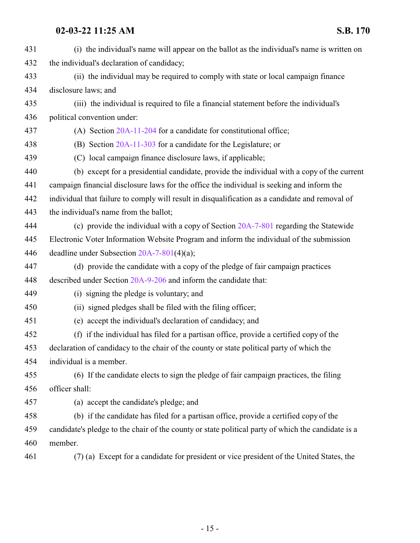| 431 | (i) the individual's name will appear on the ballot as the individual's name is written on         |
|-----|----------------------------------------------------------------------------------------------------|
| 432 | the individual's declaration of candidacy;                                                         |
| 433 | (ii) the individual may be required to comply with state or local campaign finance                 |
| 434 | disclosure laws; and                                                                               |
| 435 | (iii) the individual is required to file a financial statement before the individual's             |
| 436 | political convention under:                                                                        |
| 437 | (A) Section $20A-11-204$ for a candidate for constitutional office;                                |
| 438 | (B) Section 20A-11-303 for a candidate for the Legislature; or                                     |
| 439 | (C) local campaign finance disclosure laws, if applicable;                                         |
| 440 | (b) except for a presidential candidate, provide the individual with a copy of the current         |
| 441 | campaign financial disclosure laws for the office the individual is seeking and inform the         |
| 442 | individual that failure to comply will result in disqualification as a candidate and removal of    |
| 443 | the individual's name from the ballot;                                                             |
| 444 | (c) provide the individual with a copy of Section 20A-7-801 regarding the Statewide                |
| 445 | Electronic Voter Information Website Program and inform the individual of the submission           |
| 446 | deadline under Subsection 20A-7-801(4)(a);                                                         |
| 447 | (d) provide the candidate with a copy of the pledge of fair campaign practices                     |
| 448 | described under Section 20A-9-206 and inform the candidate that:                                   |
| 449 | (i) signing the pledge is voluntary; and                                                           |
| 450 | (ii) signed pledges shall be filed with the filing officer;                                        |
| 451 | (e) accept the individual's declaration of candidacy; and                                          |
| 452 | (f) if the individual has filed for a partisan office, provide a certified copy of the             |
| 453 | declaration of candidacy to the chair of the county or state political party of which the          |
| 454 | individual is a member.                                                                            |
| 455 | (6) If the candidate elects to sign the pledge of fair campaign practices, the filing              |
| 456 | officer shall:                                                                                     |
| 457 | (a) accept the candidate's pledge; and                                                             |
| 458 | (b) if the candidate has filed for a partisan office, provide a certified copy of the              |
| 459 | candidate's pledge to the chair of the county or state political party of which the candidate is a |
| 460 | member.                                                                                            |
| 461 | (7) (a) Except for a candidate for president or vice president of the United States, the           |
|     |                                                                                                    |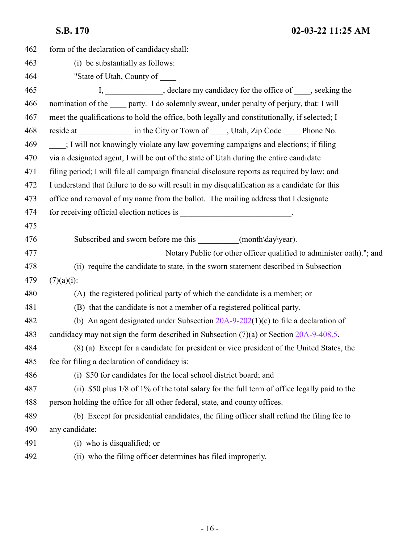| 462 | form of the declaration of candidacy shall:                                                   |
|-----|-----------------------------------------------------------------------------------------------|
| 463 | (i) be substantially as follows:                                                              |
| 464 | "State of Utah, County of _____                                                               |
| 465 | I, _____________, declare my candidacy for the office of ____, seeking the                    |
| 466 | nomination of the _____ party. I do solemnly swear, under penalty of perjury, that: I will    |
| 467 | meet the qualifications to hold the office, both legally and constitutionally, if selected; I |
| 468 | reside at _______________ in the City or Town of _____, Utah, Zip Code ______ Phone No.       |
| 469 | : I will not knowingly violate any law governing campaigns and elections; if filing           |
| 470 | via a designated agent, I will be out of the state of Utah during the entire candidate        |
| 471 | filing period; I will file all campaign financial disclosure reports as required by law; and  |
| 472 | I understand that failure to do so will result in my disqualification as a candidate for this |
| 473 | office and removal of my name from the ballot. The mailing address that I designate           |
| 474 | for receiving official election notices is __________________________.                        |
| 475 |                                                                                               |
| 476 | Subscribed and sworn before me this __________(month\day\year).                               |
| 477 | Notary Public (or other officer qualified to administer oath)."; and                          |
| 478 | (ii) require the candidate to state, in the sworn statement described in Subsection           |
| 479 | $(7)(a)(i)$ :                                                                                 |
| 480 | (A) the registered political party of which the candidate is a member; or                     |
| 481 | (B) that the candidate is not a member of a registered political party.                       |
| 482 | (b) An agent designated under Subsection $20A-9-202(1)(c)$ to file a declaration of           |
| 483 | candidacy may not sign the form described in Subsection $(7)(a)$ or Section 20A-9-408.5.      |
| 484 | (8) (a) Except for a candidate for president or vice president of the United States, the      |
| 485 | fee for filing a declaration of candidacy is:                                                 |
| 486 | (i) \$50 for candidates for the local school district board; and                              |
| 487 | (ii) \$50 plus 1/8 of 1% of the total salary for the full term of office legally paid to the  |
| 488 | person holding the office for all other federal, state, and county offices.                   |
| 489 | (b) Except for presidential candidates, the filing officer shall refund the filing fee to     |
| 490 | any candidate:                                                                                |
| 491 | (i) who is disqualified; or                                                                   |
| 492 | (ii) who the filing officer determines has filed improperly.                                  |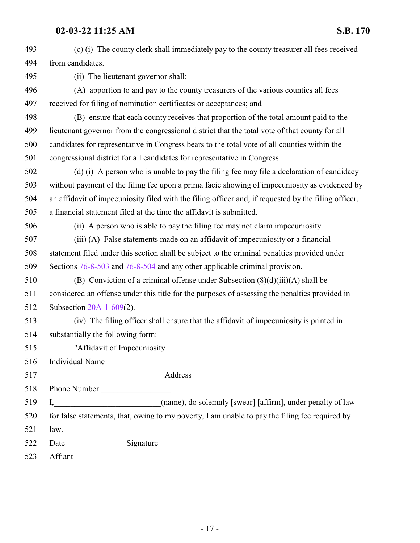| 493 | (c) (i) The county clerk shall immediately pay to the county treasurer all fees received             |
|-----|------------------------------------------------------------------------------------------------------|
| 494 | from candidates.                                                                                     |
| 495 | (ii) The lieutenant governor shall:                                                                  |
| 496 | (A) apportion to and pay to the county treasurers of the various counties all fees                   |
| 497 | received for filing of nomination certificates or acceptances; and                                   |
| 498 | (B) ensure that each county receives that proportion of the total amount paid to the                 |
| 499 | lieutenant governor from the congressional district that the total vote of that county for all       |
| 500 | candidates for representative in Congress bears to the total vote of all counties within the         |
| 501 | congressional district for all candidates for representative in Congress.                            |
| 502 | (d) (i) A person who is unable to pay the filing fee may file a declaration of candidacy             |
| 503 | without payment of the filing fee upon a prima facie showing of impecuniosity as evidenced by        |
| 504 | an affidavit of impecuniosity filed with the filing officer and, if requested by the filing officer, |
| 505 | a financial statement filed at the time the affidavit is submitted.                                  |
| 506 | (ii) A person who is able to pay the filing fee may not claim impecuniosity.                         |
| 507 | (iii) (A) False statements made on an affidavit of impecuniosity or a financial                      |
| 508 | statement filed under this section shall be subject to the criminal penalties provided under         |
| 509 | Sections 76-8-503 and 76-8-504 and any other applicable criminal provision.                          |
| 510 | (B) Conviction of a criminal offense under Subsection $(8)(d)(iii)(A)$ shall be                      |
| 511 | considered an offense under this title for the purposes of assessing the penalties provided in       |
| 512 | Subsection $20A-1-609(2)$ .                                                                          |
| 513 | (iv) The filing officer shall ensure that the affidavit of impecuniosity is printed in               |
| 514 | substantially the following form:                                                                    |
| 515 | "Affidavit of Impecuniosity                                                                          |
| 516 | Individual Name                                                                                      |
| 517 |                                                                                                      |
| 518 | Phone Number                                                                                         |
| 519 |                                                                                                      |
| 520 | for false statements, that, owing to my poverty, I am unable to pay the filing fee required by       |
| 521 | law.                                                                                                 |
| 522 |                                                                                                      |
| 523 | Affiant                                                                                              |
|     |                                                                                                      |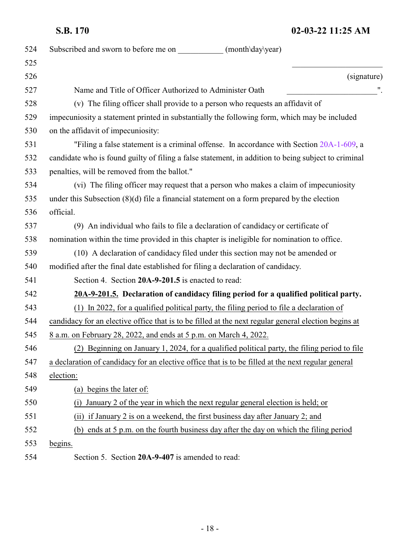<span id="page-17-1"></span><span id="page-17-0"></span>

| 524 | Subscribed and sworn to before me on<br>(month\day\year)                                             |
|-----|------------------------------------------------------------------------------------------------------|
| 525 |                                                                                                      |
| 526 | (signature)                                                                                          |
| 527 | Name and Title of Officer Authorized to Administer Oath                                              |
| 528 | (v) The filing officer shall provide to a person who requests an affidavit of                        |
| 529 | impecuniosity a statement printed in substantially the following form, which may be included         |
| 530 | on the affidavit of impecuniosity:                                                                   |
| 531 | "Filing a false statement is a criminal offense. In accordance with Section 20A-1-609, a             |
| 532 | candidate who is found guilty of filing a false statement, in addition to being subject to criminal  |
| 533 | penalties, will be removed from the ballot."                                                         |
| 534 | (vi) The filing officer may request that a person who makes a claim of impecuniosity                 |
| 535 | under this Subsection $(8)(d)$ file a financial statement on a form prepared by the election         |
| 536 | official.                                                                                            |
| 537 | (9) An individual who fails to file a declaration of candidacy or certificate of                     |
| 538 | nomination within the time provided in this chapter is ineligible for nomination to office.          |
| 539 | (10) A declaration of candidacy filed under this section may not be amended or                       |
| 540 | modified after the final date established for filing a declaration of candidacy.                     |
| 541 | Section 4. Section 20A-9-201.5 is enacted to read:                                                   |
| 542 | 20A-9-201.5. Declaration of candidacy filing period for a qualified political party.                 |
| 543 | (1) In 2022, for a qualified political party, the filing period to file a declaration of             |
| 544 | candidacy for an elective office that is to be filled at the next regular general election begins at |
| 545 | <u>8 a.m. on February 28, 2022, and ends at 5 p.m. on March 4, 2022.</u>                             |
| 546 | (2) Beginning on January 1, 2024, for a qualified political party, the filing period to file         |
| 547 | a declaration of candidacy for an elective office that is to be filled at the next regular general   |
| 548 | election:                                                                                            |
| 549 | (a) begins the later of:                                                                             |
| 550 | January 2 of the year in which the next regular general election is held; or<br>(i)                  |
| 551 | (ii) if January 2 is on a weekend, the first business day after January 2; and                       |
| 552 | (b) ends at 5 p.m. on the fourth business day after the day on which the filing period               |
| 553 | begins.                                                                                              |
| 554 | Section 5. Section 20A-9-407 is amended to read:                                                     |
|     |                                                                                                      |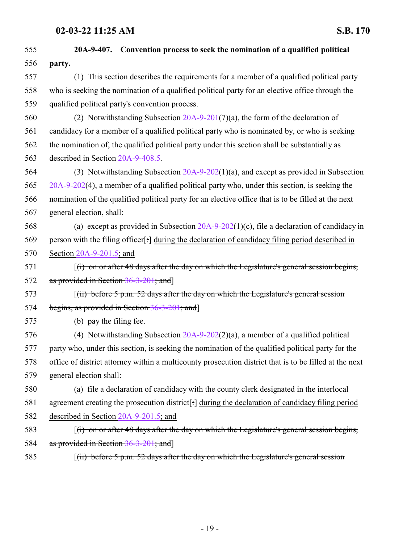| 555 | 20A-9-407. Convention process to seek the nomination of a qualified political                          |  |
|-----|--------------------------------------------------------------------------------------------------------|--|
| 556 | party.                                                                                                 |  |
| 557 | (1) This section describes the requirements for a member of a qualified political party                |  |
| 558 | who is seeking the nomination of a qualified political party for an elective office through the        |  |
| 559 | qualified political party's convention process.                                                        |  |
| 560 | (2) Notwithstanding Subsection $20A-9-201(7)(a)$ , the form of the declaration of                      |  |
| 561 | candidacy for a member of a qualified political party who is nominated by, or who is seeking           |  |
| 562 | the nomination of, the qualified political party under this section shall be substantially as          |  |
| 563 | described in Section 20A-9-408.5.                                                                      |  |
| 564 | (3) Notwithstanding Subsection $20A-9-202(1)(a)$ , and except as provided in Subsection                |  |
| 565 | $20A-9-202(4)$ , a member of a qualified political party who, under this section, is seeking the       |  |
| 566 | nomination of the qualified political party for an elective office that is to be filled at the next    |  |
| 567 | general election, shall:                                                                               |  |
| 568 | (a) except as provided in Subsection $20A-9-202(1)(c)$ , file a declaration of candidacy in            |  |
| 569 | person with the filing officer[:] during the declaration of candidacy filing period described in       |  |
| 570 | Section $20A-9-201.5$ ; and                                                                            |  |
| 571 | $(i)$ on or after 48 days after the day on which the Legislature's general session begins,             |  |
| 572 | as provided in Section 36-3-201; and]                                                                  |  |
| 573 | $(iii)$ before 5 p.m. 52 days after the day on which the Legislature's general session                 |  |
| 574 | begins, as provided in Section 36-3-201; and                                                           |  |
| 575 | (b) pay the filing fee.                                                                                |  |
| 576 | (4) Notwithstanding Subsection $20A-9-202(2)(a)$ , a member of a qualified political                   |  |
| 577 | party who, under this section, is seeking the nomination of the qualified political party for the      |  |
| 578 | office of district attorney within a multicounty prosecution district that is to be filled at the next |  |
| 579 | general election shall:                                                                                |  |
| 580 | (a) file a declaration of candidacy with the county clerk designated in the interlocal                 |  |
| 581 | agreement creating the prosecution district[:] during the declaration of candidacy filing period       |  |
| 582 | described in Section 20A-9-201.5; and                                                                  |  |
| 583 | $f(i)$ on or after 48 days after the day on which the Legislature's general session begins,            |  |
| 584 | as provided in Section 36-3-201; and]                                                                  |  |
| 585 | $(iii)$ before 5 p.m. 52 days after the day on which the Legislature's general session                 |  |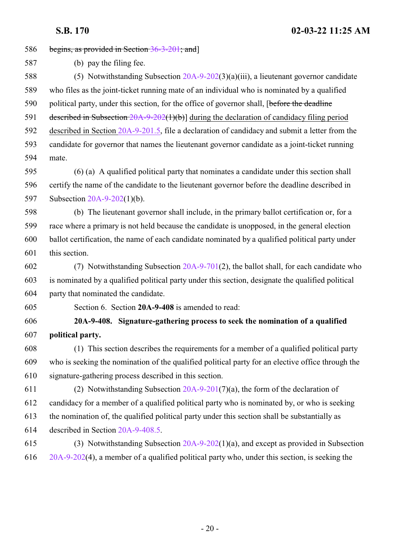<span id="page-19-0"></span>

| 586 | begins, as provided in Section $36-3-201$ ; and                                                   |  |
|-----|---------------------------------------------------------------------------------------------------|--|
| 587 | (b) pay the filing fee.                                                                           |  |
| 588 | (5) Notwithstanding Subsection 20A-9-202(3)(a)(iii), a lieutenant governor candidate              |  |
| 589 | who files as the joint-ticket running mate of an individual who is nominated by a qualified       |  |
| 590 | political party, under this section, for the office of governor shall, [before the deadline       |  |
| 591 | described in Subsection $20A-9-202(1)(b)$ during the declaration of candidacy filing period       |  |
| 592 | described in Section 20A-9-201.5, file a declaration of candidacy and submit a letter from the    |  |
| 593 | candidate for governor that names the lieutenant governor candidate as a joint-ticket running     |  |
| 594 | mate.                                                                                             |  |
| 595 | (6) (a) A qualified political party that nominates a candidate under this section shall           |  |
| 596 | certify the name of the candidate to the lieutenant governor before the deadline described in     |  |
| 597 | Subsection $20A-9-202(1)(b)$ .                                                                    |  |
| 598 | (b) The lieutenant governor shall include, in the primary ballot certification or, for a          |  |
| 599 | race where a primary is not held because the candidate is unopposed, in the general election      |  |
| 600 | ballot certification, the name of each candidate nominated by a qualified political party under   |  |
| 601 | this section.                                                                                     |  |
| 602 | (7) Notwithstanding Subsection 20A-9-701(2), the ballot shall, for each candidate who             |  |
| 603 | is nominated by a qualified political party under this section, designate the qualified political |  |
| 604 | party that nominated the candidate.                                                               |  |
| 605 | Section 6. Section 20A-9-408 is amended to read:                                                  |  |
| 606 | 20A-9-408. Signature-gathering process to seek the nomination of a qualified                      |  |
| 607 | political party.                                                                                  |  |
| 608 | (1) This section describes the requirements for a member of a qualified political party           |  |
| 609 | who is seeking the nomination of the qualified political party for an elective office through the |  |
| 610 | signature-gathering process described in this section.                                            |  |
| 611 | (2) Notwithstanding Subsection $20A-9-201(7)(a)$ , the form of the declaration of                 |  |
| 612 | candidacy for a member of a qualified political party who is nominated by, or who is seeking      |  |
| 613 | the nomination of, the qualified political party under this section shall be substantially as     |  |
| 614 | described in Section 20A-9-408.5.                                                                 |  |
| 615 | (3) Notwithstanding Subsection 20A-9-202(1)(a), and except as provided in Subsection              |  |
| 616 | $20A-9-202(4)$ , a member of a qualified political party who, under this section, is seeking the  |  |
|     |                                                                                                   |  |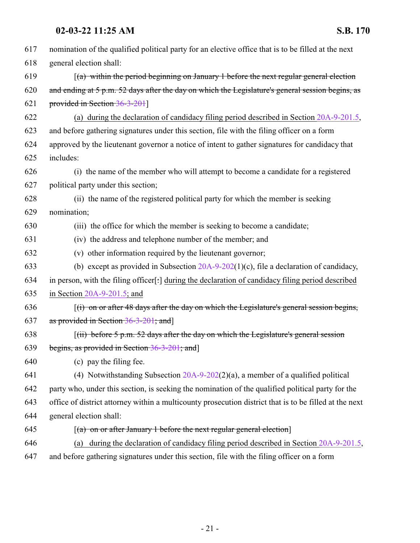| 617 | nomination of the qualified political party for an elective office that is to be filled at the next    |
|-----|--------------------------------------------------------------------------------------------------------|
| 618 | general election shall:                                                                                |
| 619 | $\lceil$ (a) within the period beginning on January 1 before the next regular general election         |
| 620 | and ending at 5 p.m. 52 days after the day on which the Legislature's general session begins, as       |
| 621 | provided in Section 36-3-201]                                                                          |
| 622 | (a) during the declaration of candidacy filing period described in Section $20A-9-201.5$ ,             |
| 623 | and before gathering signatures under this section, file with the filing officer on a form             |
| 624 | approved by the lieutenant governor a notice of intent to gather signatures for candidacy that         |
| 625 | includes:                                                                                              |
| 626 | (i) the name of the member who will attempt to become a candidate for a registered                     |
| 627 | political party under this section;                                                                    |
| 628 | (ii) the name of the registered political party for which the member is seeking                        |
| 629 | nomination;                                                                                            |
| 630 | (iii) the office for which the member is seeking to become a candidate;                                |
| 631 | (iv) the address and telephone number of the member; and                                               |
| 632 | (v) other information required by the lieutenant governor;                                             |
| 633 | (b) except as provided in Subsection $20A-9-202(1)(c)$ , file a declaration of candidacy,              |
| 634 | in person, with the filing officer[:] during the declaration of candidacy filing period described      |
| 635 | in Section $20A-9-201.5$ ; and                                                                         |
| 636 | $f(t)$ on or after 48 days after the day on which the Legislature's general session begins,            |
| 637 | as provided in Section 36-3-201; and                                                                   |
| 638 | $(iii)$ before 5 p.m. 52 days after the day on which the Legislature's general session                 |
| 639 | begins, as provided in Section 36-3-201; and                                                           |
| 640 | (c) pay the filing fee.                                                                                |
| 641 | (4) Notwithstanding Subsection $20A-9-202(2)(a)$ , a member of a qualified political                   |
| 642 | party who, under this section, is seeking the nomination of the qualified political party for the      |
| 643 | office of district attorney within a multicounty prosecution district that is to be filled at the next |
| 644 | general election shall:                                                                                |
| 645 | $\lceil$ (a) on or after January 1 before the next regular general election                            |
| 646 | during the declaration of candidacy filing period described in Section 20A-9-201.5,<br>(a)             |
| 647 | and before gathering signatures under this section, file with the filing officer on a form             |
|     |                                                                                                        |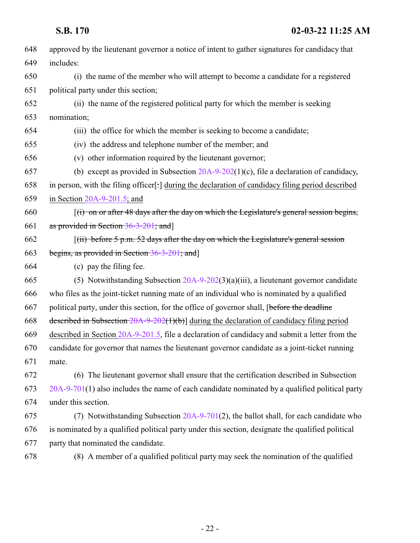| 648 | approved by the lieutenant governor a notice of intent to gather signatures for candidacy that    |
|-----|---------------------------------------------------------------------------------------------------|
| 649 | includes:                                                                                         |
| 650 | (i) the name of the member who will attempt to become a candidate for a registered                |
| 651 | political party under this section;                                                               |
| 652 | (ii) the name of the registered political party for which the member is seeking                   |
| 653 | nomination;                                                                                       |
| 654 | (iii) the office for which the member is seeking to become a candidate;                           |
| 655 | (iv) the address and telephone number of the member; and                                          |
| 656 | (v) other information required by the lieutenant governor;                                        |
| 657 | (b) except as provided in Subsection $20A-9-202(1)(c)$ , file a declaration of candidacy,         |
| 658 | in person, with the filing officer[:] during the declaration of candidacy filing period described |
| 659 | in Section $20A-9-201.5$ ; and                                                                    |
| 660 | $(i)$ on or after 48 days after the day on which the Legislature's general session begins,        |
| 661 | as provided in Section $36-3-201$ ; and                                                           |
| 662 | $(iii)$ before 5 p.m. 52 days after the day on which the Legislature's general session            |
| 663 | begins, as provided in Section 36-3-201; and                                                      |
| 664 | (c) pay the filing fee.                                                                           |
| 665 | (5) Notwithstanding Subsection $20A-9-202(3)(a)(iii)$ , a lieutenant governor candidate           |
| 666 | who files as the joint-ticket running mate of an individual who is nominated by a qualified       |
| 667 | political party, under this section, for the office of governor shall, [before the deadline       |
| 668 | described in Subsection $20A-9-202(1)(b)$ during the declaration of candidacy filing period       |
| 669 | described in Section 20A-9-201.5, file a declaration of candidacy and submit a letter from the    |
| 670 | candidate for governor that names the lieutenant governor candidate as a joint-ticket running     |
| 671 | mate.                                                                                             |
| 672 | (6) The lieutenant governor shall ensure that the certification described in Subsection           |
| 673 | $20A-9-701(1)$ also includes the name of each candidate nominated by a qualified political party  |
| 674 | under this section.                                                                               |
| 675 | (7) Notwithstanding Subsection 20A-9-701(2), the ballot shall, for each candidate who             |
| 676 | is nominated by a qualified political party under this section, designate the qualified political |
| 677 | party that nominated the candidate.                                                               |
| 678 | (8) A member of a qualified political party may seek the nomination of the qualified              |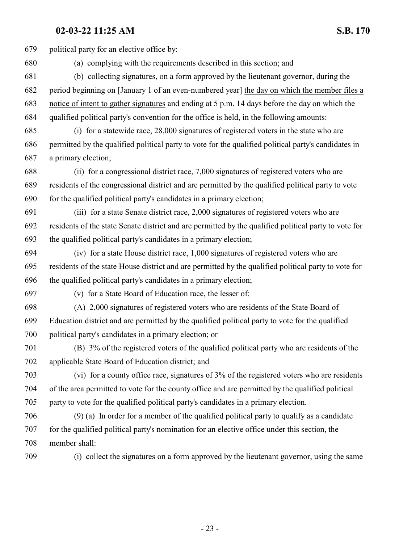political party for an elective office by: (a) complying with the requirements described in this section; and (b) collecting signatures, on a form approved by the lieutenant governor, during the 682 period beginning on [January 1 of an even-numbered year] the day on which the member files a notice of intent to gather signatures and ending at 5 p.m. 14 days before the day on which the qualified political party's convention for the office is held, in the following amounts: (i) for a statewide race, 28,000 signatures of registered voters in the state who are permitted by the qualified political party to vote for the qualified political party's candidates in a primary election; (ii) for a congressional district race, 7,000 signatures of registered voters who are residents of the congressional district and are permitted by the qualified political party to vote for the qualified political party's candidates in a primary election; (iii) for a state Senate district race, 2,000 signatures of registered voters who are residents of the state Senate district and are permitted by the qualified political party to vote for the qualified political party's candidates in a primary election; (iv) for a state House district race, 1,000 signatures of registered voters who are residents of the state House district and are permitted by the qualified political party to vote for the qualified political party's candidates in a primary election; (v) for a State Board of Education race, the lesser of: (A) 2,000 signatures of registered voters who are residents of the State Board of Education district and are permitted by the qualified political party to vote for the qualified political party's candidates in a primary election; or (B) 3% of the registered voters of the qualified political party who are residents of the applicable State Board of Education district; and (vi) for a county office race, signatures of 3% of the registered voters who are residents of the area permitted to vote for the county office and are permitted by the qualified political party to vote for the qualified political party's candidates in a primary election. (9) (a) In order for a member of the qualified political party to qualify as a candidate for the qualified political party's nomination for an elective office under this section, the member shall: (i) collect the signatures on a form approved by the lieutenant governor, using the same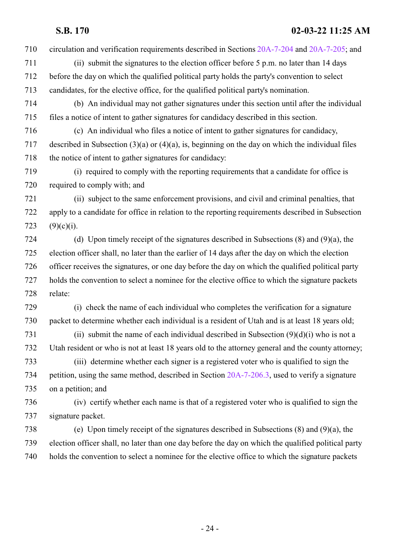circulation and verification requirements described in Sections [20A-7-204](http://le.utah.gov/UtahCode/SectionLookup.jsp?section=20a-7-204&session=2022GS) and [20A-7-205](http://le.utah.gov/UtahCode/SectionLookup.jsp?section=20a-7-205&session=2022GS); and

- (ii) submit the signatures to the election officer before 5 p.m. no later than 14 days before the day on which the qualified political party holds the party's convention to select candidates, for the elective office, for the qualified political party's nomination.
- (b) An individual may not gather signatures under this section until after the individual files a notice of intent to gather signatures for candidacy described in this section.
- (c) An individual who files a notice of intent to gather signatures for candidacy, described in Subsection (3)(a) or (4)(a), is, beginning on the day on which the individual files the notice of intent to gather signatures for candidacy:
- (i) required to comply with the reporting requirements that a candidate for office is required to comply with; and
- (ii) subject to the same enforcement provisions, and civil and criminal penalties, that apply to a candidate for office in relation to the reporting requirements described in Subsection 723  $(9)(c)(i)$ .
- (d) Upon timely receipt of the signatures described in Subsections (8) and (9)(a), the election officer shall, no later than the earlier of 14 days after the day on which the election officer receives the signatures, or one day before the day on which the qualified political party holds the convention to select a nominee for the elective office to which the signature packets relate:
- (i) check the name of each individual who completes the verification for a signature packet to determine whether each individual is a resident of Utah and is at least 18 years old;
- 731 (ii) submit the name of each individual described in Subsection  $(9)(d)(i)$  who is not a Utah resident or who is not at least 18 years old to the attorney general and the county attorney;
- (iii) determine whether each signer is a registered voter who is qualified to sign the petition, using the same method, described in Section [20A-7-206.3](http://le.utah.gov/UtahCode/SectionLookup.jsp?section=20a-7-206.3&session=2022GS), used to verify a signature on a petition; and
- (iv) certify whether each name is that of a registered voter who is qualified to sign the signature packet.
- (e) Upon timely receipt of the signatures described in Subsections (8) and (9)(a), the election officer shall, no later than one day before the day on which the qualified political party holds the convention to select a nominee for the elective office to which the signature packets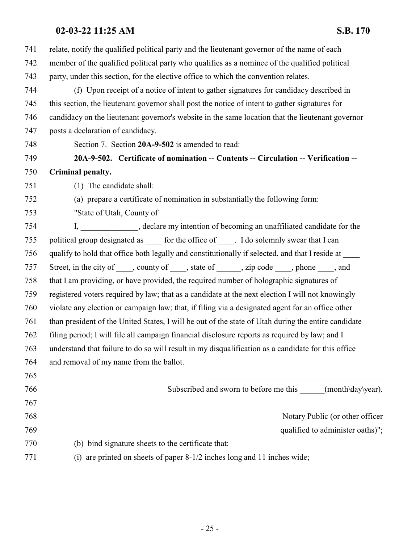<span id="page-24-0"></span>

| 741 | relate, notify the qualified political party and the lieutenant governor of the name of each         |  |
|-----|------------------------------------------------------------------------------------------------------|--|
| 742 | member of the qualified political party who qualifies as a nominee of the qualified political        |  |
| 743 | party, under this section, for the elective office to which the convention relates.                  |  |
| 744 | (f) Upon receipt of a notice of intent to gather signatures for candidacy described in               |  |
| 745 | this section, the lieutenant governor shall post the notice of intent to gather signatures for       |  |
| 746 | candidacy on the lieutenant governor's website in the same location that the lieutenant governor     |  |
| 747 | posts a declaration of candidacy.                                                                    |  |
| 748 | Section 7. Section 20A-9-502 is amended to read:                                                     |  |
| 749 | 20A-9-502. Certificate of nomination -- Contents -- Circulation -- Verification --                   |  |
| 750 | Criminal penalty.                                                                                    |  |
| 751 | (1) The candidate shall:                                                                             |  |
| 752 | (a) prepare a certificate of nomination in substantially the following form:                         |  |
| 753 |                                                                                                      |  |
| 754 | I, ______________, declare my intention of becoming an unaffiliated candidate for the                |  |
| 755 | political group designated as ______ for the office of ______. I do solemnly swear that I can        |  |
| 756 | qualify to hold that office both legally and constitutionally if selected, and that I reside at ____ |  |
| 757 | Street, in the city of _____, county of _____, state of ______, zip code _____, phone ____, and      |  |
| 758 | that I am providing, or have provided, the required number of holographic signatures of              |  |
| 759 | registered voters required by law; that as a candidate at the next election I will not knowingly     |  |
| 760 | violate any election or campaign law; that, if filing via a designated agent for an office other     |  |
| 761 | than president of the United States, I will be out of the state of Utah during the entire candidate  |  |
| 762 | filing period; I will file all campaign financial disclosure reports as required by law; and I       |  |
| 763 | understand that failure to do so will result in my disqualification as a candidate for this office   |  |
| 764 | and removal of my name from the ballot.                                                              |  |
| 765 |                                                                                                      |  |
| 766 | Subscribed and sworn to before me this (month\day\year).                                             |  |
| 767 |                                                                                                      |  |
| 768 | Notary Public (or other officer                                                                      |  |
| 769 | qualified to administer oaths)";                                                                     |  |
| 770 | (b) bind signature sheets to the certificate that:                                                   |  |
| 771 | (i) are printed on sheets of paper 8-1/2 inches long and 11 inches wide;                             |  |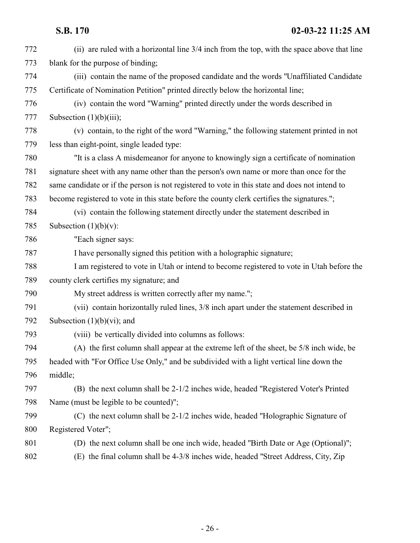| 772 | (ii) are ruled with a horizontal line 3/4 inch from the top, with the space above that line    |  |
|-----|------------------------------------------------------------------------------------------------|--|
| 773 | blank for the purpose of binding;                                                              |  |
| 774 | (iii) contain the name of the proposed candidate and the words "Unaffiliated Candidate"        |  |
| 775 | Certificate of Nomination Petition" printed directly below the horizontal line;                |  |
| 776 | (iv) contain the word "Warning" printed directly under the words described in                  |  |
| 777 | Subsection $(1)(b)(iii)$ ;                                                                     |  |
| 778 | (v) contain, to the right of the word "Warning," the following statement printed in not        |  |
| 779 | less than eight-point, single leaded type:                                                     |  |
| 780 | "It is a class A misdemeanor for anyone to knowingly sign a certificate of nomination          |  |
| 781 | signature sheet with any name other than the person's own name or more than once for the       |  |
| 782 | same candidate or if the person is not registered to vote in this state and does not intend to |  |
| 783 | become registered to vote in this state before the county clerk certifies the signatures.";    |  |
| 784 | (vi) contain the following statement directly under the statement described in                 |  |
| 785 | Subsection $(1)(b)(v)$ :                                                                       |  |
| 786 | "Each signer says:                                                                             |  |
| 787 | I have personally signed this petition with a holographic signature;                           |  |
| 788 | I am registered to vote in Utah or intend to become registered to vote in Utah before the      |  |
| 789 | county clerk certifies my signature; and                                                       |  |
| 790 | My street address is written correctly after my name.";                                        |  |
| 791 | (vii) contain horizontally ruled lines, 3/8 inch apart under the statement described in        |  |
| 792 | Subsection $(1)(b)(vi)$ ; and                                                                  |  |
| 793 | (viii) be vertically divided into columns as follows:                                          |  |
| 794 | (A) the first column shall appear at the extreme left of the sheet, be 5/8 inch wide, be       |  |
| 795 | headed with "For Office Use Only," and be subdivided with a light vertical line down the       |  |
| 796 | middle;                                                                                        |  |
| 797 | (B) the next column shall be 2-1/2 inches wide, headed "Registered Voter's Printed             |  |
| 798 | Name (must be legible to be counted)";                                                         |  |
| 799 | (C) the next column shall be 2-1/2 inches wide, headed "Holographic Signature of               |  |
| 800 | Registered Voter";                                                                             |  |
| 801 | (D) the next column shall be one inch wide, headed "Birth Date or Age (Optional)";             |  |
| 802 | (E) the final column shall be 4-3/8 inches wide, headed "Street Address, City, Zip             |  |
|     |                                                                                                |  |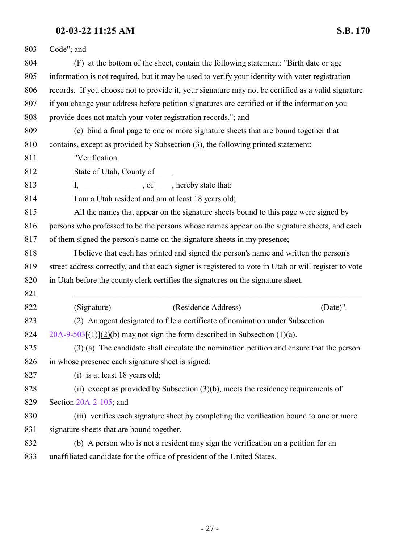| 803 | Code"; and                                                                                            |  |
|-----|-------------------------------------------------------------------------------------------------------|--|
| 804 | (F) at the bottom of the sheet, contain the following statement: "Birth date or age                   |  |
| 805 | information is not required, but it may be used to verify your identity with voter registration       |  |
| 806 | records. If you choose not to provide it, your signature may not be certified as a valid signature    |  |
| 807 | if you change your address before petition signatures are certified or if the information you         |  |
| 808 | provide does not match your voter registration records."; and                                         |  |
| 809 | (c) bind a final page to one or more signature sheets that are bound together that                    |  |
| 810 | contains, except as provided by Subsection (3), the following printed statement:                      |  |
| 811 | "Verification                                                                                         |  |
| 812 | State of Utah, County of _____                                                                        |  |
| 813 | I, _______________________, of ______, hereby state that:                                             |  |
| 814 | I am a Utah resident and am at least 18 years old;                                                    |  |
| 815 | All the names that appear on the signature sheets bound to this page were signed by                   |  |
| 816 | persons who professed to be the persons whose names appear on the signature sheets, and each          |  |
| 817 | of them signed the person's name on the signature sheets in my presence;                              |  |
| 818 | I believe that each has printed and signed the person's name and written the person's                 |  |
| 819 | street address correctly, and that each signer is registered to vote in Utah or will register to vote |  |
| 820 | in Utah before the county clerk certifies the signatures on the signature sheet.                      |  |
| 821 |                                                                                                       |  |
| 822 | (Residence Address)<br>(Signature)<br>(Date)".                                                        |  |
| 823 | (2) An agent designated to file a certificate of nomination under Subsection                          |  |
| 824 | $20A-9-503$ [ $(1)$ ](2)(b) may not sign the form described in Subsection (1)(a).                     |  |
| 825 | (3) (a) The candidate shall circulate the nomination petition and ensure that the person              |  |
| 826 | in whose presence each signature sheet is signed:                                                     |  |
| 827 | (i) is at least 18 years old;                                                                         |  |
| 828 | (ii) except as provided by Subsection $(3)(b)$ , meets the residency requirements of                  |  |
| 829 | Section $20A-2-105$ ; and                                                                             |  |
| 830 | (iii) verifies each signature sheet by completing the verification bound to one or more               |  |
| 831 | signature sheets that are bound together.                                                             |  |
| 832 | (b) A person who is not a resident may sign the verification on a petition for an                     |  |
| 833 | unaffiliated candidate for the office of president of the United States.                              |  |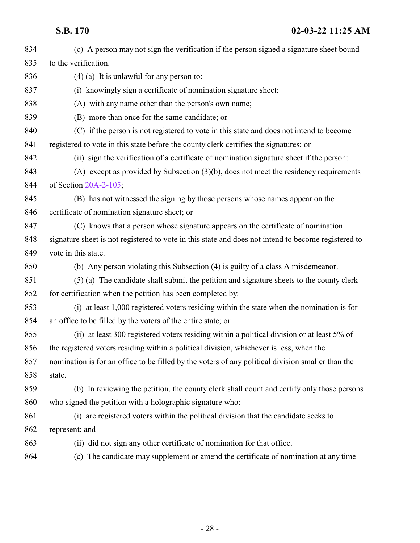| 834 | (c) A person may not sign the verification if the person signed a signature sheet bound             |
|-----|-----------------------------------------------------------------------------------------------------|
|     |                                                                                                     |
| 835 | to the verification.                                                                                |
| 836 | $(4)$ (a) It is unlawful for any person to:                                                         |
| 837 | (i) knowingly sign a certificate of nomination signature sheet:                                     |
| 838 | (A) with any name other than the person's own name;                                                 |
| 839 | (B) more than once for the same candidate; or                                                       |
| 840 | (C) if the person is not registered to vote in this state and does not intend to become             |
| 841 | registered to vote in this state before the county clerk certifies the signatures; or               |
| 842 | (ii) sign the verification of a certificate of nomination signature sheet if the person:            |
| 843 | (A) except as provided by Subsection $(3)(b)$ , does not meet the residency requirements            |
| 844 | of Section 20A-2-105;                                                                               |
| 845 | (B) has not witnessed the signing by those persons whose names appear on the                        |
| 846 | certificate of nomination signature sheet; or                                                       |
| 847 | (C) knows that a person whose signature appears on the certificate of nomination                    |
| 848 | signature sheet is not registered to vote in this state and does not intend to become registered to |
| 849 | vote in this state.                                                                                 |
| 850 | (b) Any person violating this Subsection (4) is guilty of a class A misdemeanor.                    |
| 851 | (5) (a) The candidate shall submit the petition and signature sheets to the county clerk            |
| 852 | for certification when the petition has been completed by:                                          |
| 853 | (i) at least 1,000 registered voters residing within the state when the nomination is for           |
| 854 | an office to be filled by the voters of the entire state; or                                        |
| 855 | (ii) at least 300 registered voters residing within a political division or at least 5% of          |
| 856 | the registered voters residing within a political division, whichever is less, when the             |
| 857 | nomination is for an office to be filled by the voters of any political division smaller than the   |
| 858 | state.                                                                                              |
| 859 | (b) In reviewing the petition, the county clerk shall count and certify only those persons          |
| 860 | who signed the petition with a holographic signature who:                                           |
| 861 | (i) are registered voters within the political division that the candidate seeks to                 |
| 862 | represent; and                                                                                      |
| 863 | (ii) did not sign any other certificate of nomination for that office.                              |
| 864 | (c) The candidate may supplement or amend the certificate of nomination at any time                 |
|     |                                                                                                     |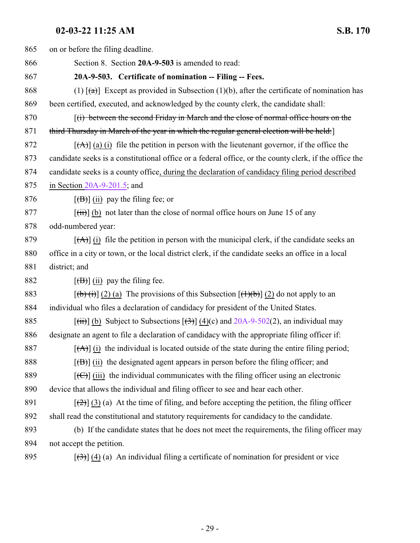<span id="page-28-0"></span>

| 865 | on or before the filing deadline.                                                                                        |  |
|-----|--------------------------------------------------------------------------------------------------------------------------|--|
| 866 | Section 8. Section 20A-9-503 is amended to read:                                                                         |  |
| 867 | 20A-9-503. Certificate of nomination -- Filing -- Fees.                                                                  |  |
| 868 | (1) $\lceil (a) \rceil$ Except as provided in Subsection (1)(b), after the certificate of nomination has                 |  |
| 869 | been certified, executed, and acknowledged by the county clerk, the candidate shall:                                     |  |
| 870 | (i) between the second Friday in March and the close of normal office hours on the                                       |  |
| 871 | third Thursday in March of the year in which the regular general election will be held:                                  |  |
| 872 | $[\overrightarrow{A}]$ (a) (i) file the petition in person with the lieutenant governor, if the office the               |  |
| 873 | candidate seeks is a constitutional office or a federal office, or the county clerk, if the office the                   |  |
| 874 | candidate seeks is a county office, during the declaration of candidacy filing period described                          |  |
| 875 | in Section $20A-9-201.5$ ; and                                                                                           |  |
| 876 | $[\overline{(B)}]$ (ii) pay the filing fee; or                                                                           |  |
| 877 | $[\overrightarrow{tii}]$ (b) not later than the close of normal office hours on June 15 of any                           |  |
| 878 | odd-numbered year:                                                                                                       |  |
| 879 | $[\vec{A}]$ (i) file the petition in person with the municipal clerk, if the candidate seeks an                          |  |
| 880 | office in a city or town, or the local district clerk, if the candidate seeks an office in a local                       |  |
| 881 | district; and                                                                                                            |  |
| 882 | $[\overline{(\mathbf{B})}]$ (ii) pay the filing fee.                                                                     |  |
| 883 | $[\phi(\mathbf{t})](2)$ (a) The provisions of this Subsection $[\mathbf{t}](\mathbf{t})$ (2) do not apply to an          |  |
| 884 | individual who files a declaration of candidacy for president of the United States.                                      |  |
| 885 | $[\overrightarrow{(ii)}]$ (b) Subject to Subsections $[\overrightarrow{(3)}]$ (4)(c) and 20A-9-502(2), an individual may |  |
| 886 | designate an agent to file a declaration of candidacy with the appropriate filing officer if:                            |  |
| 887 | $[\vec{A}]$ (i) the individual is located outside of the state during the entire filing period;                          |  |
| 888 | $[\overline{(B)}]$ (ii) the designated agent appears in person before the filing officer; and                            |  |
| 889 | $[\text{(\Theta)}]$ (iii) the individual communicates with the filing officer using an electronic                        |  |
| 890 | device that allows the individual and filing officer to see and hear each other.                                         |  |
| 891 | $[\frac{1}{2}]$ (3) (a) At the time of filing, and before accepting the petition, the filing officer                     |  |
| 892 | shall read the constitutional and statutory requirements for candidacy to the candidate.                                 |  |
| 893 | (b) If the candidate states that he does not meet the requirements, the filing officer may                               |  |
| 894 | not accept the petition.                                                                                                 |  |
| 895 | $[\left(\frac{1}{2}\right)]$ (4) (a) An individual filing a certificate of nomination for president or vice              |  |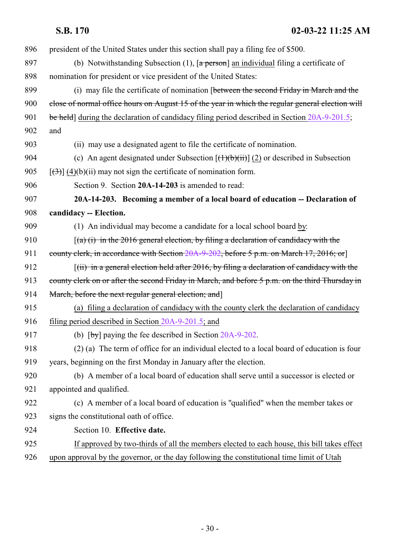<span id="page-29-0"></span>

| 5.D. | <b>170</b> |
|------|------------|
|------|------------|

 president of the United States under this section shall pay a filing fee of \$500. 897 (b) Notwithstanding Subsection  $(1)$ ,  $\sqrt{a}$  person an individual filing a certificate of nomination for president or vice president of the United States: (i) may file the certificate of nomination [between the second Friday in March and the 900 close of normal office hours on August 15 of the year in which the regular general election will 901 be held] during the declaration of candidacy filing period described in Section [20A-9-201.5](#page-17-1); and (ii) may use a designated agent to file the certificate of nomination. 904 (c) An agent designated under Subsection  $[\frac{(+)}{(b)}\frac{(+)}{(i)}]$  (2) or described in Subsection  $[(3)] (4)(b)(ii)$  may not sign the certificate of nomination form. Section 9. Section **20A-14-203** is amended to read: **20A-14-203. Becoming a member of a local board of education -- Declaration of candidacy -- Election.** (1) An individual may become a candidate for a local school board by:  $(a)$  (i) in the 2016 general election, by filing a declaration of candidacy with the 911 county clerk, in accordance with Section [20A-9-202](http://le.utah.gov/UtahCode/SectionLookup.jsp?section=20a-9-202&session=2022GS), before 5 p.m. on March 17, 2016; or 912 [(ii) in a general election held after 2016, by filing a declaration of candidacy with the 913 county clerk on or after the second Friday in March, and before 5 p.m. on the third Thursday in 914 March, before the next regular general election; and (a) filing a declaration of candidacy with the county clerk the declaration of candidacy filing period described in Section [20A-9-201.5](#page-17-1); and 917 (b) [by] paying the fee described in Section [20A-9-202](http://le.utah.gov/UtahCode/SectionLookup.jsp?section=20a-9-202&session=2022GS). (2) (a) The term of office for an individual elected to a local board of education is four years, beginning on the first Monday in January after the election. (b) A member of a local board of education shall serve until a successor is elected or appointed and qualified. (c) A member of a local board of education is "qualified" when the member takes or signs the constitutional oath of office. Section 10. **Effective date.** If approved by two-thirds of all the members elected to each house, this bill takes effect

upon approval by the governor, or the day following the constitutional time limit of Utah